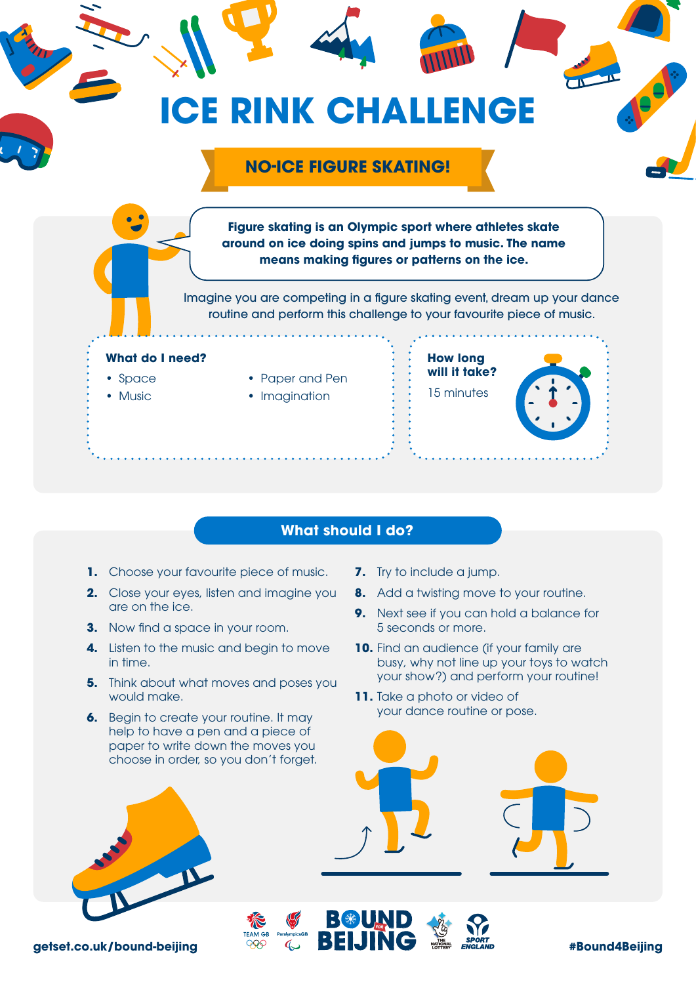

## **What should I do?**

- 1. Choose your favourite piece of music.
- **2.** Close your eyes, listen and imagine you are on the ice.
- **3.** Now find a space in your room.
- **4.** Listen to the music and begin to move in time.
- **5.** Think about what moves and poses you would make.
- **6.** Begin to create your routine. It may help to have a pen and a piece of paper to write down the moves you choose in order, so you don't forget.
- **7.** Try to include a jump.
- **8.** Add a twisting move to your routine.
- **9.** Next see if you can hold a balance for 5 seconds or more.
- **10.** Find an audience (if your family are busy, why not line up your toys to watch your show?) and perform your routine!
- **11.** Take a photo or video of your dance routine or pose.



**getset.co.uk/bound-beijing**  $\frac{989}{4}$   $\frac{4}{3}$  **DEIJINU**  $\frac{1}{2}$   $\frac{1}{2}$   $\frac{1}{2}$   $\frac{1}{2}$   $\frac{1}{2}$   $\frac{1}{2}$   $\frac{1}{2}$   $\frac{1}{2}$   $\frac{1}{2}$   $\frac{1}{2}$   $\frac{1}{2}$   $\frac{1}{2}$   $\frac{1}{2}$   $\frac{1}{2}$   $\frac{1}{2}$   $\frac{1}{2}$